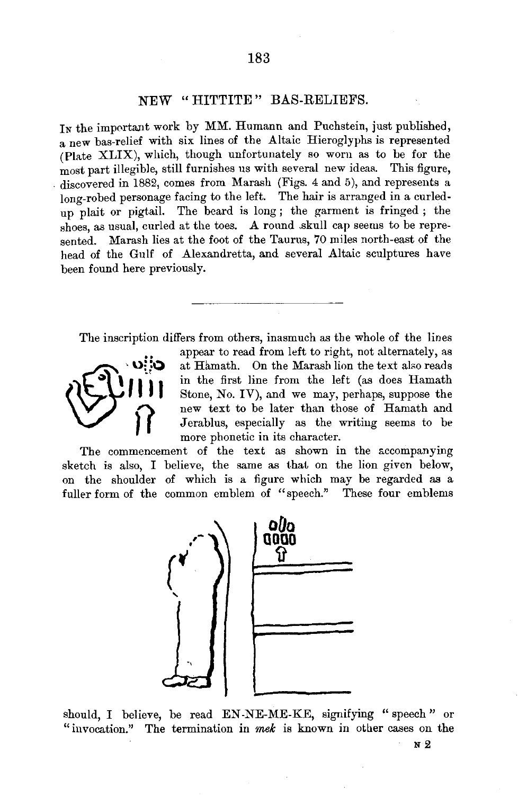## NEW "HITTITE" BAS-RELIEFS.

In the important work by MM. Humann and Puchstein, just published, a new bas-relief with six lines of the Altaic Hieroglyphs is represented (Plate XLIX), which, though unfortunately so worn as to be for the most part illegible, still furnishes us with several new ideas. This figure, . discovered in 1882, comes from Marash (Figs. 4 and 5), and represents a long-robed personage facing to the left. The hair is arranged in a curledup plait or pigtail. The beard is long; the garment is fringed; the shoes, as usual, curled at the toes. A round skull cap seems to be represented. Marash lies at the foot of the Taurus, 70 miles north-east of the head of the Gulf of Alexandretta, and several Altaic sculptures have been found here previously.

The inscription differs from others, inasmuch as the whole of the lines



appear to read from left to right, not alternately, as at Hamath. On the Marash lion the text also reads in the first line from the left (as does Hamath **FORTHE STATE STATE STATE STATE STATE STATE STATE STATE STATE STATE STATE STATE STATE STATE STATE STATE STATE STATE STATE STATE STATE STATE STATE STATE STATE STATE STATE STATE STATE STATE STATE STATE STATE STATE STATE STAT** Stone, No. IV), and we may, perhaps, suppose the new text to be later than those of Hamath and Jerablus, especially as the writing seems to be more phonetic in its character.

sketch is also, I believe, the same as that on the lion given below, on the shoulder of which is a figure which may be regarded as a fuller form of the common emblem of "speech." These four emblems



should, I believe, be read EN-NE-ME-KE, signifying "speech" or "invocation." The termination in mek is known in other cases on the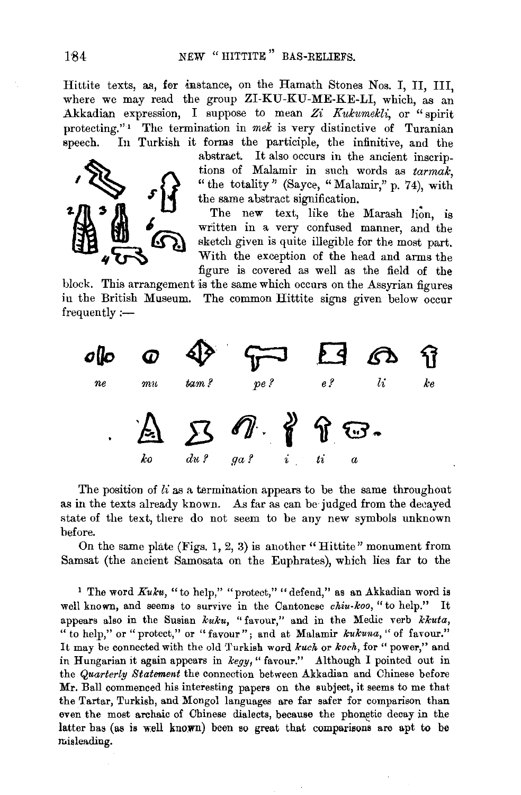Hittite texts, as, fer mstance, on the Hamath Stones Nos. I, II, III, where we may read the group ZI-KU-KU-ME-KE-LI, which, as an Akkadian expression, I suppose to mean Zi Kukumekli, or "spirit protecting."<sup>1</sup> The termination in mek is very distinctive of Turanian speech. In Turkish it forms the participle, the infinitive, and the



abstract. It also occurs in the ancient inscriptions of Malamir in such words as *tarmalc,*  "the totality" (Sayee, "Malamir," p. 74), with the same abstract signification.

The new text, like the Marash lion, is written in a very confused manner, and the sketch given is quite illegible for the most part. With the exception of the head and arms the :figure is covered as well as the field of the

block. This arrangement is the same which occurs on the Assyrian figures in the British Museum. The common Hittite signs given below occur frequently:-



The position of  $li$  as a termination appears to be the same throughout as in the texts already known. As far as can be judged from the decayed state of the text, there do not seem to be any new symbols unknown before.

On the same plate (Figs. 1, 2, 3) is another "Hittite" monument from Samsat (the ancient Samosata on the Euphrates), which lies far to the

<sup>1</sup> The word *Kuku*, "to help," "protect," "defend," as an Akkadian word is well known, and seems to survive in the Cantonese *chiu-koo,* "to help." It appears also in the Susian *kuku,* "favour," and in the Medic verb *kkuta,*  " to help," or "protect," or "favour"; and at Malamir *kukuna,"* of favour." It may be connected with the old Turkish word *kuch* or *koch*, for "power," and in Hungarian it again appears in *kegy*, "favour." Although I pointed out in the *Quarterly Statement* the connection between Akkadian and Chinese before Mr. Ball commenced his interesting papers on the subject, it seems to me that the Tartar, Turkish, and Mongol languages are far safer for comparison than even the most archaic of Chinese dialects, because the phonetic decay in the latter has (as is well known) been so great that comparisons are apt to be misleading.